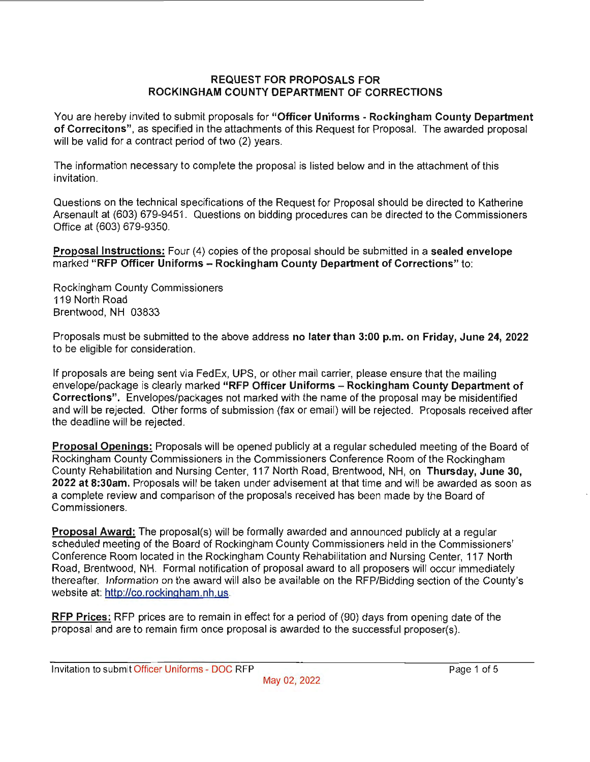### **REQUEST FOR PROPOSALS FOR ROCKINGHAM COUNTY DEPARTMENT OF CORRECTIONS**

You are hereby invited to submit proposals for **"Officer Uniforms - Rockingham County Department of Correcitons",** as specified in the attachments of this Request for Proposal. The awarded proposal will be valid for a contract period of two (2) years.

The information necessary to complete the proposal is listed below and in the attachment of this invitation.

Questions on the technical specifications of the Request for Proposal should be directed to Katherine Arsenault at (603) 679-9451. Questions on bidding procedures can be directed to the Commissioners Office at (603) 679-9350.

**Proposal Instructions:** Four (4) copies of the proposal should be submitted in a **sealed envelope**  marked **"RFP Officer Uniforms - Rockingham County Department of Corrections"** to:

Rockingham County Commissioners 119 North Road Brentwood, NH 03833

Proposals must be submitted to the above address **no later than 3:00 p.m. on Friday, June 24, 2022**  to be eligible for consideration.

If proposals are being sent via FedEx, UPS, or other mail carrier, please ensure that the mailing envelope/package is clearly marked **"RFP Officer Uniforms - Rockingham County Department of Corrections".** Envelopes/packages not marked with the name of the proposal may be misidentified and will be rejected. Other forms of submission (fax or email) will be rejected. Proposals received after the deadline will be rejected.

**Proposal Openings:** Proposals will be opened publicly at a regular scheduled meeting of the Board of Rockingham County Commissioners in the Commissioners Conference Room of the Rockingham County Rehabilitation and Nursing Center, 117 North Road, Brentwood, NH, on **Thursday, June 30, 2022 at 8:30am.** Proposals will be taken under advisement at that time and will be awarded as soon as a complete review and comparison of the proposals received has been made by the Board of Commissioners.

**Proposal Award:** The proposal(s) will be formally awarded and announced publicly at a regular scheduled meeting of the Board of Rockingham County Commissioners held in the Commissioners' Conference Room located in the Rockingham County Rehabilitation and Nursing Center, 117 North Road, Brentwood, NH. Formal notification of proposal award to all proposers will occur immediately thereafter. Information on the award will also be available on the RFP/Bidding section of the County's website at: http://co.rockingham.nh.us.

**RFP Prices:** RFP prices are to remain in effect for a period of (90) days from opening date of the proposal and are to remain firm once proposal is awarded to the successful proposer(s).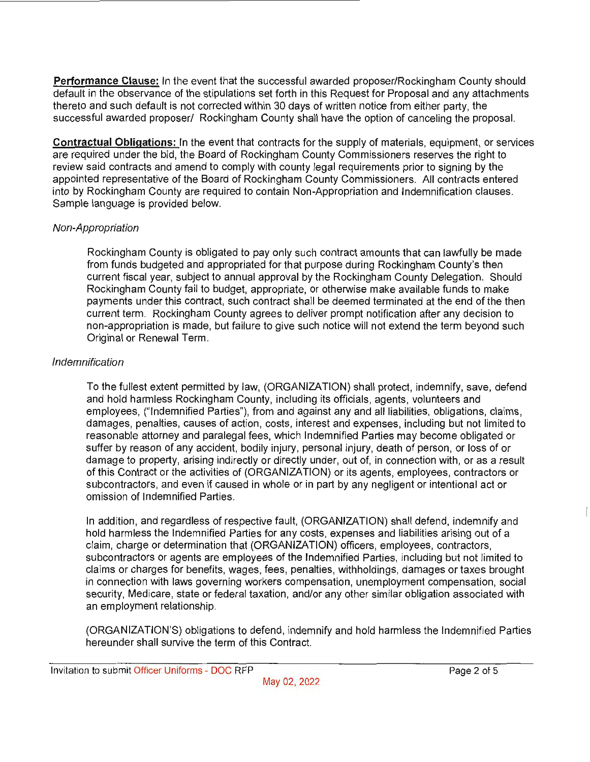**Performance Clause:** In the event that the successful awarded proposer/Rockingham County should default in the observance of the stipulations set forth in this Request for Proposal and any attachments thereto and such default is not corrected within 30 days of written notice from either party, the successful awarded proposer/ Rockingham County shall have the option of canceling the proposal.

**Contractual Obligations:** In the event that contracts for the supply of materials, equipment, or services are required under the bid, the Board of Rockingham County Commissioners reserves the right to review said contracts and amend to comply with county legal requirements prior to signing by the appointed representative of the Board of Rockingham County Commissioners. All contracts entered into by Rockingham County are required to contain Non-Appropriation and Indemnification clauses. Sample language is provided below.

## Non-Appropriation

Rockingham County is obligated to pay only such contract amounts that can lawfully be made from funds budgeted and appropriated for that purpose during Rockingham County's then current fiscal year, subject to annual approval by the Rockingham County Delegation. Should Rockingham County fail to budget, appropriate, or otherwise make available funds to make payments under this contract, such contract shall be deemed terminated at the end of the then current term. Rockingham County agrees to deliver prompt notification after any decision to non-appropriation is made, but failure to give such notice will not extend the term beyond such Original or Renewal Term.

## Indemnification

To the fullest extent permitted by law, (ORGANIZATION) shall protect, indemnify, save, defend and hold harmless Rockingham County, including its officials, agents, volunteers and employees, ("Indemnified Parties"), from and against any and all liabilities, obligations, claims, damages, penalties, causes of action, costs, interest and expenses, including but not limited to reasonable attorney and paralegal fees, which Indemnified Parties may become obligated or suffer by reason of any accident, bodily injury, personal injury, death of person, or loss of or damage to property, arising indirectly or directly under, out of, in connection with, or as a result of this Contract or the activities of (ORGANIZATION) or its agents, employees, contractors or subcontractors, and even if caused in whole or in part by any negligent or intentional act or omission of Indemnified Parties.

In addition, and regardless of respective fault, (ORGANIZATION) shall defend, indemnify and hold harmless the Indemnified Parties for any costs, expenses and liabilities arising out of a claim, charge or determination that (ORGANIZATION) officers, employees, contractors, subcontractors or agents are employees of the Indemnified Parties, including but not limited to claims or charges for benefits, wages, fees, penalties, withholdings, damages or taxes brought in connection with laws governing workers compensation, unemployment compensation, social security, Medicare, state or federal taxation, and/or any other similar obligation associated with an employment relationship.

(ORGANIZATION'S) obligations to defend, indemnify and hold harmless the Indemnified Parties hereunder shall survive the term of this Contract.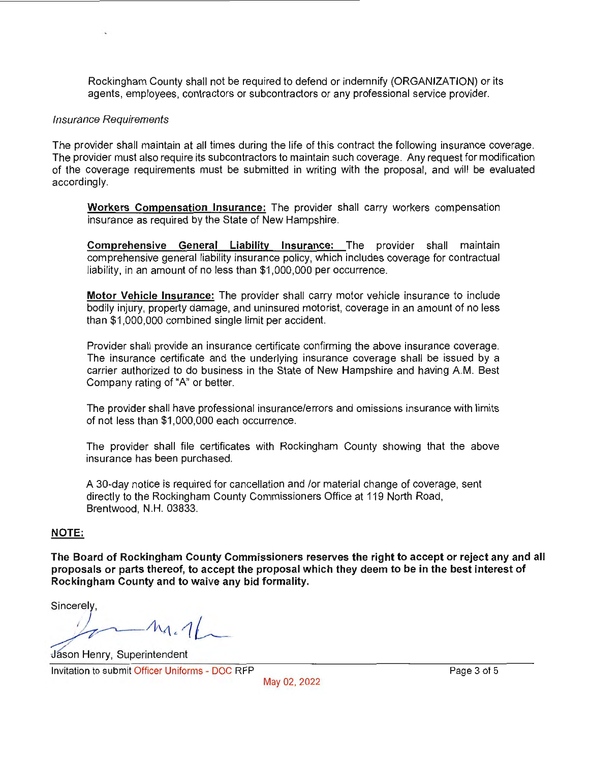Rockingham County shall not be required to defend or indemnify (ORGANIZATION) or its agents, employees, contractors or subcontractors or any professional service provider.

#### Insurance Requirements

The provider shall maintain at all times during the life of this contract the following insurance coverage. The provider must also require its subcontractors to maintain such coverage. Any request for modification of the coverage requirements must be submitted in writing with the proposal, and will be evaluated accordingly.

**Workers Compensation Insurance:** The provider shall carry workers compensation insurance as required by the State of New Hampshire.

**Comprehensive General Liability Insurance:** The provider shall maintain comprehensive general liability insurance policy, which includes coverage for contractual liability, in an amount of no less than \$1,000,000 per occurrence.

**Motor Vehicle Insurance:** The provider shall carry motor vehicle insurance to include bodily injury, property damage, and uninsured motorist, coverage in an amount of no less than \$1 ,000,000 combined single limit per accident.

Provider shall provide an insurance certificate confirming the above insurance coverage. The insurance certificate and the underlying insurance coverage shall be issued by a carrier authorized to do business in the State of New Hampshire and having AM. Best Company rating of "A" or better.

The provider shall have professional insurance/errors and omissions insurance with limits of not less than \$1 ,000,000 each occurrence.

The provider shall file certificates with Rockingham County showing that the above insurance has been purchased.

A 30-day notice is required for cancellation and /or material change of coverage, sent directly to the Rockingham County Commissioners Office at 119 North Road, Brentwood, **N.H.** 03833.

### **NOTE:**

**The Board of Rockingham County Commissioners reserves the right to accept or reject any and all proposals or parts thereof, to accept the proposal which they deem to be in the best interest of Rockingham County and to waive any bid formality.** 

Sincerely,

 $m_1$ 

**Jason Henry, Superintendent** 

Invitation to submit Officer Uniforms - DOC RFP Page 3 of 5

May 02, 2022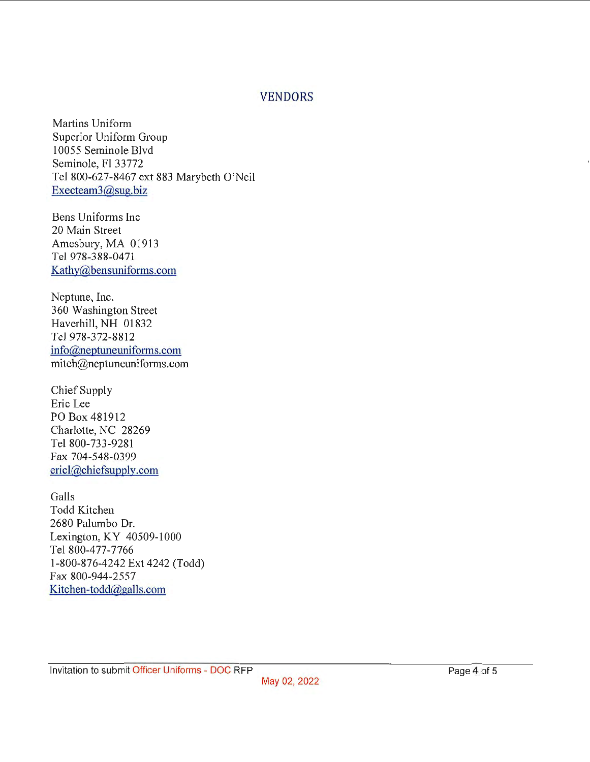## VENDORS

Martins Uniform Superior Uniform Group 10055 Seminole Blvd Seminole, Fl 33772 Tel 800-627-8467 ext 883 Marybeth O'Neil Execteam3@sug.biz

Bens Uniforms Inc 20 Main Street Amesbury, MA 01913 Tel 978-388-0471 Kathy@bensuniforms.com

Neptune, Inc. 360 Washington Street Haverhill, NH 01832 Tel 978-372-8812 info@neptuneuniforms.com mitch@neptuneuniforms.com

Chief Supply Eric Lee PO Box 481912 Charlotte, NC 28269 Tel 800-733-9281 Fax 704-548-0399 ericl@chiefsupply.com

Galls Todd Kitchen 2680 Palumbo Dr. Lexington, KY 40509-1000 Tel 800-477-7766 1-800-876-4242 Ext 4242 (Todd) Fax 800-944-2557 Kitchen-todd@galls.com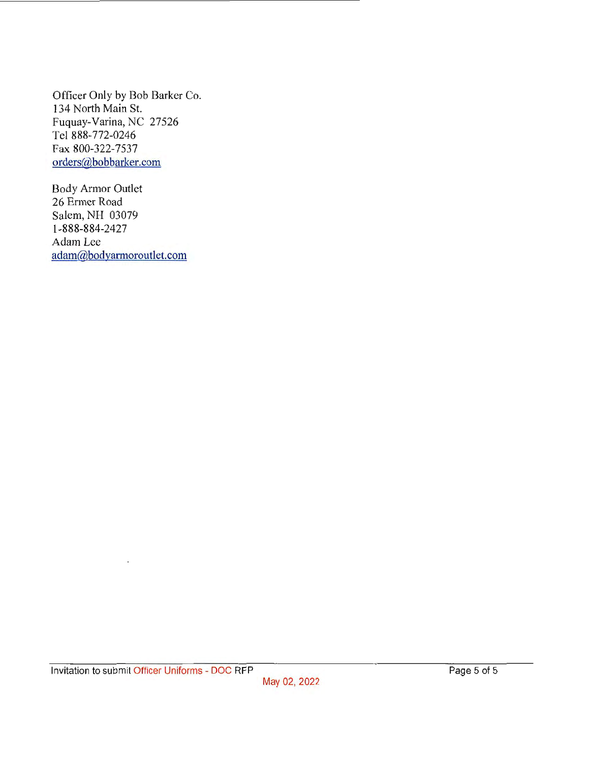Officer Only by Bob Barker Co. 134 North Main St. Fuquay-Varina, NC 27526 Tel 888-772-0246 Fax 800-322-7537 orders@bobbarker.com

Body Armor Outlet 26 Ermer Road Salem, NH 03079 1-888-884-2427 Adam Lee adam@bodyarmoroutlet.com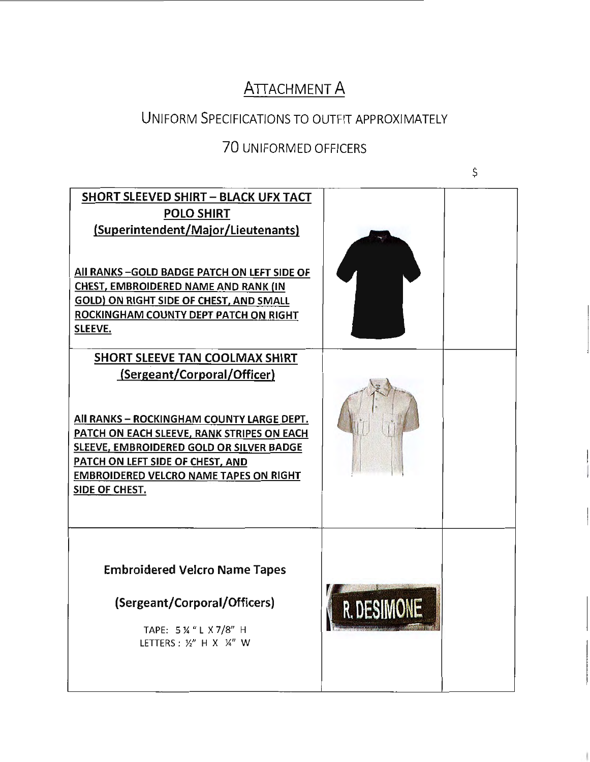# **ATTACHMENT A**

# UNIFORM SPECIFICATIONS TO OUTFIT APPROXIMATELY

# 70 UNIFORMED OFFICERS

 $\zeta$ 

| <b>SHORT SLEEVED SHIRT - BLACK UFX TACT</b><br><b>POLO SHIRT</b><br>(Superintendent/Major/Lieutenants)<br>All RANKS-GOLD BADGE PATCH ON LEFT SIDE OF<br>CHEST, EMBROIDERED NAME AND RANK (IN<br>GOLD) ON RIGHT SIDE OF CHEST, AND SMALL<br>ROCKINGHAM COUNTY DEPT PATCH ON RIGHT<br><b>SLEEVE.</b>                 |  |
|--------------------------------------------------------------------------------------------------------------------------------------------------------------------------------------------------------------------------------------------------------------------------------------------------------------------|--|
| SHORT SLEEVE TAN COOLMAX SHIRT<br>(Sergeant/Corporal/Officer)<br>All RANKS - ROCKINGHAM COUNTY LARGE DEPT.<br>PATCH ON EACH SLEEVE, RANK STRIPES ON EACH<br>SLEEVE, EMBROIDERED GOLD OR SILVER BADGE<br>PATCH ON LEFT SIDE OF CHEST, AND<br><b>EMBROIDERED VELCRO NAME TAPES ON RIGHT</b><br><b>SIDE OF CHEST.</b> |  |
| <b>Embroidered Velcro Name Tapes</b><br>(Sergeant/Corporal/Officers)<br>TAPE: 5 % " L X 7/8" H<br>LETTERS: 1/2" H X 1/4" W                                                                                                                                                                                         |  |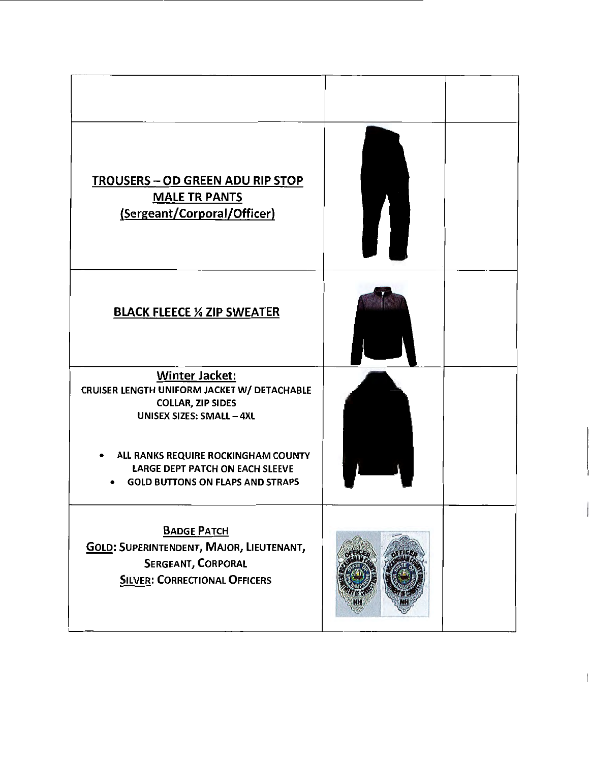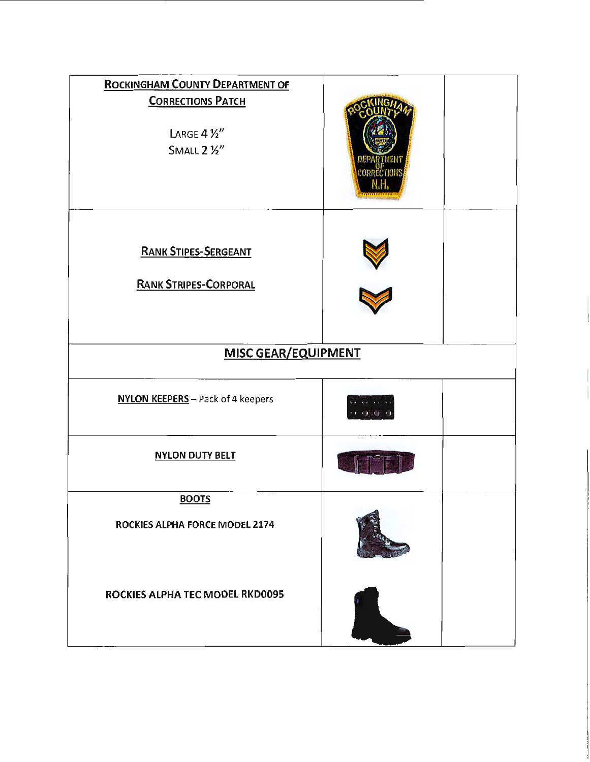| <b>ROCKINGHAM COUNTY DEPARTMENT OF</b><br><b>CORRECTIONS PATCH</b><br>LARGE $4\frac{1}{2}$<br>SMALL 2 1/2" |  |  |
|------------------------------------------------------------------------------------------------------------|--|--|
| <b>RANK STIPES-SERGEANT</b><br><b>RANK STRIPES-CORPORAL</b>                                                |  |  |
| <b>MISC GEAR/EQUIPMENT</b>                                                                                 |  |  |
| NYLON KEEPERS - Pack of 4 keepers                                                                          |  |  |
| <b>NYLON DUTY BELT</b>                                                                                     |  |  |
| <b>BOOTS</b><br>ROCKIES ALPHA FORCE MODEL 2174                                                             |  |  |
| ROCKIES ALPHA TEC MODEL RKD0095                                                                            |  |  |

 $\frac{1}{2}$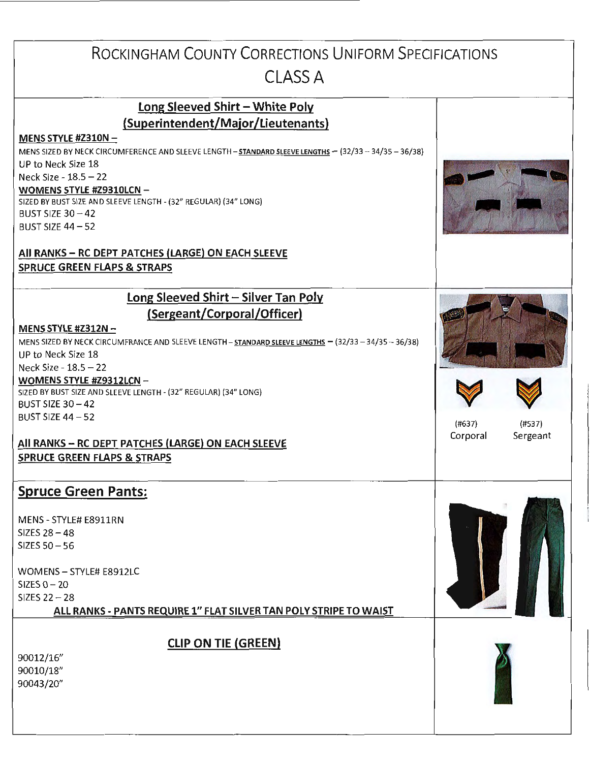| ROCKINGHAM COUNTY CORRECTIONS UNIFORM SPECIFICATIONS                                                                         |                      |
|------------------------------------------------------------------------------------------------------------------------------|----------------------|
|                                                                                                                              |                      |
| <b>CLASS A</b>                                                                                                               |                      |
| Long Sleeved Shirt - White Poly                                                                                              |                      |
| (Superintendent/Major/Lieutenants)                                                                                           |                      |
| MENS STYLE #2310N $-$                                                                                                        |                      |
| MENS SIZED BY NECK CIRCUMFERENCE AND SLEEVE LENGTH - STANDARD SLEEVE LENGTHS - (32/33 - 34/35 - 36/38)<br>UP to Neck Size 18 |                      |
| Neck Size - 18.5 - 22                                                                                                        |                      |
| WOMENS STYLE #Z9310LCN -                                                                                                     |                      |
| SIZED BY BUST SIZE AND SLEEVE LENGTH - (32" REGULAR) (34" LONG)                                                              |                      |
| BUST SIZE $30 - 42$                                                                                                          |                      |
| <b>BUST SIZE 44-52</b>                                                                                                       |                      |
| All RANKS - RC DEPT PATCHES (LARGE) ON EACH SLEEVE                                                                           |                      |
| <b>SPRUCE GREEN FLAPS &amp; STRAPS</b>                                                                                       |                      |
| Long Sleeved Shirt - Silver Tan Poly                                                                                         |                      |
| (Sergeant/Corporal/Officer)                                                                                                  |                      |
| MENS STYLE #Z312N $-$                                                                                                        |                      |
| MENS SIZED BY NECK CIRCUMFRANCE AND SLEEVE LENGTH - STANDARD SLEEVE LENGTHS - (32/33 - 34/35 - 36/38)                        |                      |
| UP to Neck Size 18                                                                                                           |                      |
| Neck Size - 18.5 - 22                                                                                                        |                      |
| WOMENS STYLE #Z9312LCN -<br>SIZED BY BUST SIZE AND SLEEVE LENGTH - (32" REGULAR) (34" LONG)                                  |                      |
| <b>BUST SIZE 30-42</b>                                                                                                       |                      |
| BUST SIZE $44 - 52$                                                                                                          | (#637)<br>(#537)     |
|                                                                                                                              | Corporal<br>Sergeant |
| All RANKS - RC DEPT PATCHES (LARGE) ON EACH SLEEVE                                                                           |                      |
| <b>SPRUCE GREEN FLAPS &amp; STRAPS</b>                                                                                       |                      |
| <b>Spruce Green Pants:</b>                                                                                                   |                      |
| MENS - STYLE# E8911RN                                                                                                        |                      |
| SIZES $28 - 48$                                                                                                              |                      |
| SIZES $50 - 56$                                                                                                              |                      |
| WOMENS - STYLE# E8912LC                                                                                                      |                      |
| SIZES $0 - 20$                                                                                                               |                      |
| SIZES $22 - 28$                                                                                                              |                      |
| ALL RANKS - PANTS REQUIRE 1" FLAT SILVER TAN POLY STRIPE TO WAIST                                                            |                      |
|                                                                                                                              |                      |
| <b>CLIP ON TIE (GREEN)</b>                                                                                                   |                      |
| 90012/16"<br>90010/18"                                                                                                       |                      |
| 90043/20"                                                                                                                    |                      |
|                                                                                                                              |                      |
|                                                                                                                              |                      |
|                                                                                                                              |                      |